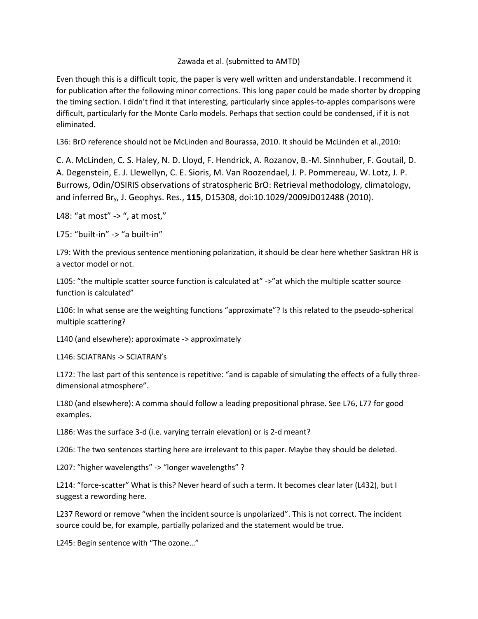## Zawada et al. (submitted to AMTD)

Even though this is a difficult topic, the paper is very well written and understandable. I recommend it for publication after the following minor corrections. This long paper could be made shorter by dropping the timing section. I didn't find it that interesting, particularly since apples-to-apples comparisons were difficult, particularly for the Monte Carlo models. Perhaps that section could be condensed, if it is not eliminated.

L36: BrO reference should not be McLinden and Bourassa, 2010. It should be McLinden et al.,2010:

C. A. McLinden, C. S. Haley, N. D. Lloyd, F. Hendrick, A. Rozanov, B.-M. Sinnhuber, F. Goutail, D. A. Degenstein, E. J. Llewellyn, C. E. Sioris, M. Van Roozendael, J. P. Pommereau, W. Lotz, J. P. Burrows, Odin/OSIRIS observations of stratospheric BrO: Retrieval methodology, climatology, and inferred Bry, J. Geophys. Res*.*, **115**, D15308, doi:10.1029/2009JD012488 (2010).

L48: "at most" -> ", at most,"

L75: "built-in" -> "a built-in"

L79: With the previous sentence mentioning polarization, it should be clear here whether Sasktran HR is a vector model or not.

L105: "the multiple scatter source function is calculated at" ->"at which the multiple scatter source function is calculated"

L106: In what sense are the weighting functions "approximate"? Is this related to the pseudo-spherical multiple scattering?

L140 (and elsewhere): approximate -> approximately

L146: SCIATRANs -> SCIATRAN's

L172: The last part of this sentence is repetitive: "and is capable of simulating the effects of a fully threedimensional atmosphere".

L180 (and elsewhere): A comma should follow a leading prepositional phrase. See L76, L77 for good examples.

L186: Was the surface 3-d (i.e. varying terrain elevation) or is 2-d meant?

L206: The two sentences starting here are irrelevant to this paper. Maybe they should be deleted.

L207: "higher wavelengths" -> "longer wavelengths" ?

L214: "force-scatter" What is this? Never heard of such a term. It becomes clear later (L432), but I suggest a rewording here.

L237 Reword or remove "when the incident source is unpolarized". This is not correct. The incident source could be, for example, partially polarized and the statement would be true.

L245: Begin sentence with "The ozone…"